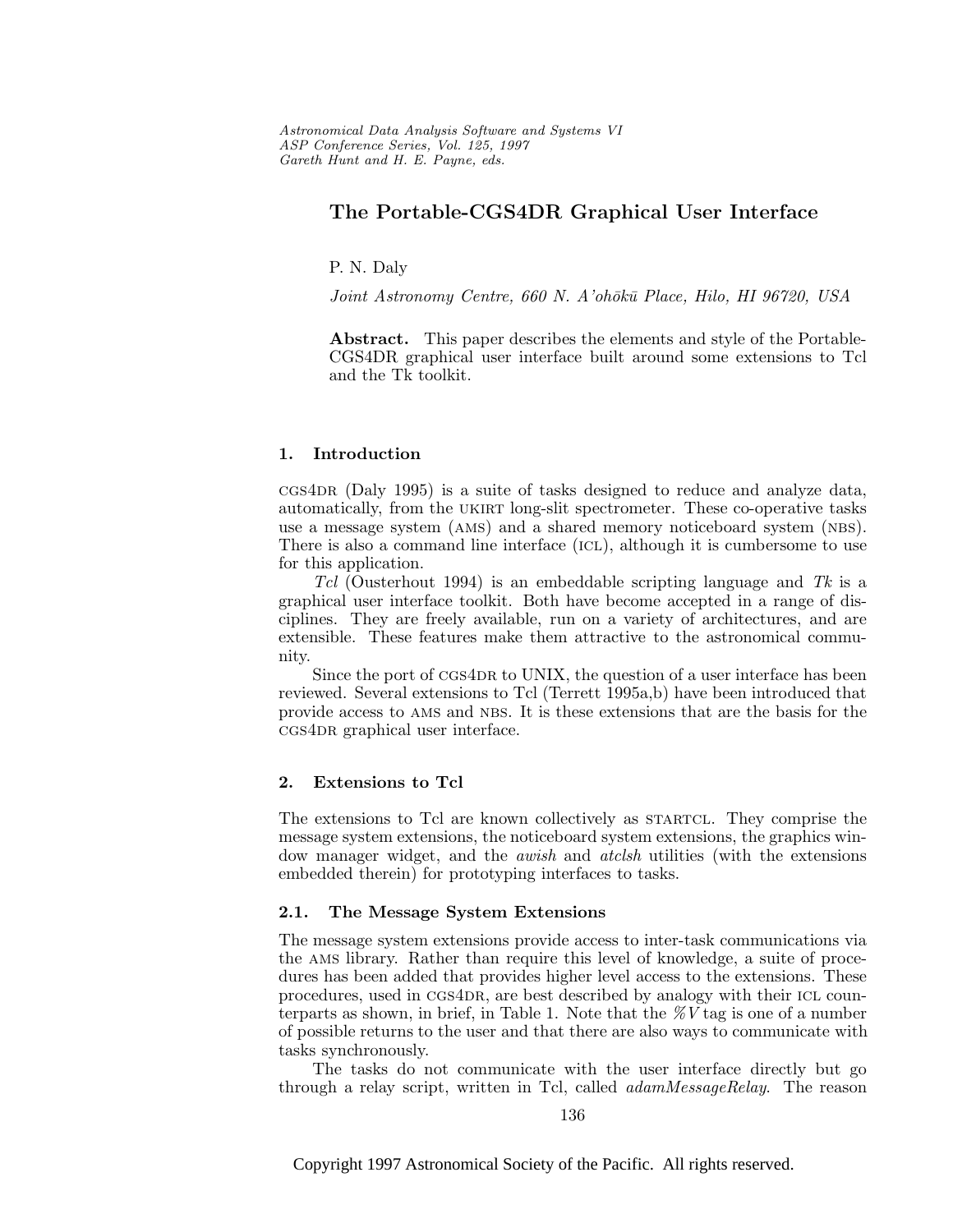# **The Portable-CGS4DR Graphical User Interface**

P. N. Daly

Joint Astronomy Centre, 660 N. A'ohōkū Place, Hilo, HI 96720, USA

**Abstract.** This paper describes the elements and style of the Portable-CGS4DR graphical user interface built around some extensions to Tcl and the Tk toolkit.

## **1. Introduction**

 $ccs4DR$  (Daly 1995) is a suite of tasks designed to reduce and analyze data, automatically, from the ukirt long-slit spectrometer. These co-operative tasks use a message system (ams) and a shared memory noticeboard system (nbs). There is also a command line interface (icl), although it is cumbersome to use for this application.

Tcl (Ousterhout 1994) is an embeddable scripting language and Tk is a graphical user interface toolkit. Both have become accepted in a range of disciplines. They are freely available, run on a variety of architectures, and are extensible. These features make them attractive to the astronomical community.

Since the port of CGS4DR to UNIX, the question of a user interface has been reviewed. Several extensions to Tcl (Terrett 1995a,b) have been introduced that provide access to ams and nbs. It is these extensions that are the basis for the cgs4DR graphical user interface.

#### **2. Extensions to Tcl**

The extensions to Tcl are known collectively as startcl. They comprise the message system extensions, the noticeboard system extensions, the graphics window manager widget, and the *awish* and *atclsh* utilities (with the extensions embedded therein) for prototyping interfaces to tasks.

### **2.1. The Message System Extensions**

The message system extensions provide access to inter-task communications via the ams library. Rather than require this level of knowledge, a suite of procedures has been added that provides higher level access to the extensions. These procedures, used in cgs4dr, are best described by analogy with their icl counterparts as shown, in brief, in Table 1. Note that the  $\mathscr{N}V$  tag is one of a number of possible returns to the user and that there are also ways to communicate with tasks synchronously.

The tasks do not communicate with the user interface directly but go through a relay script, written in Tcl, called *adamMessageRelay*. The reason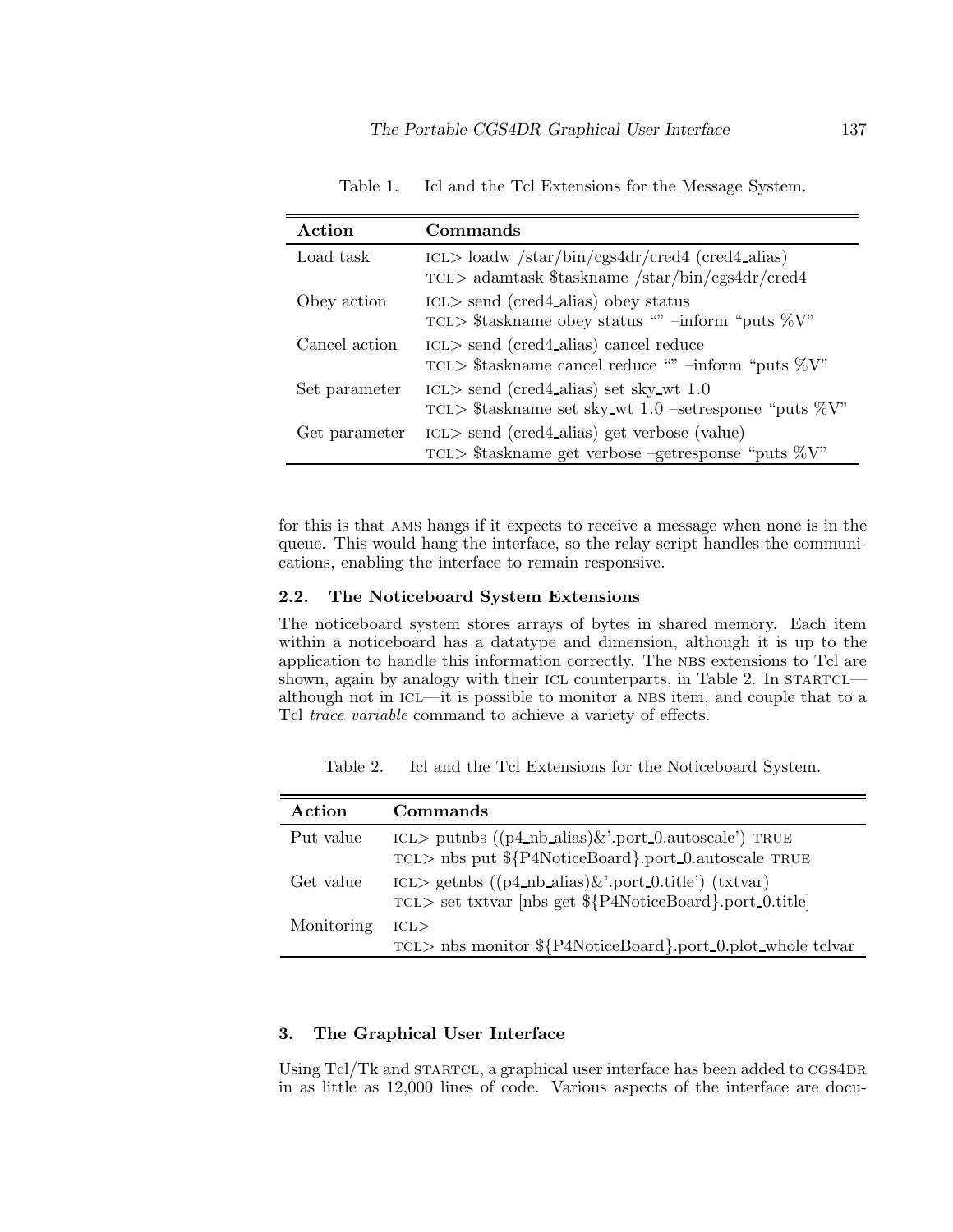| Action        | Commands                                                                                                      |  |
|---------------|---------------------------------------------------------------------------------------------------------------|--|
| Load task     | $\text{ICL}$ loadw /star/bin/cgs4dr/cred4 (cred4_alias)<br>$TCL$ adamtask \$taskname /star/bin/cgs4dr/cred4   |  |
| Obey action   | $\text{ICL}$ send (cred4_alias) obey status<br>TCL> \$taskname obey status "" -inform "puts $\%V$ "           |  |
| Cancel action | $\text{ICL}$ send (cred4_alias) cancel reduce<br>TCL> \$taskname cancel reduce "" -inform "puts $\%V$ "       |  |
| Set parameter | $\text{ICL}$ send (cred4_alias) set sky_wt 1.0<br>TCL> \$taskname set sky_wt 1.0 -set response "puts $\%V$ "  |  |
| Get parameter | $\text{ICL}$ send (cred4_alias) get verbose (value)<br>TCL> \$taskname get verbose -getresponse "puts $\%V$ " |  |

Table 1. Icl and the Tcl Extensions for the Message System.

for this is that ams hangs if it expects to receive a message when none is in the queue. This would hang the interface, so the relay script handles the communications, enabling the interface to remain responsive.

#### **2.2. The Noticeboard System Extensions**

The noticeboard system stores arrays of bytes in shared memory. Each item within a noticeboard has a datatype and dimension, although it is up to the application to handle this information correctly. The NBS extensions to Tcl are shown, again by analogy with their ICL counterparts, in Table 2. In STARTCL although not in ICL—it is possible to monitor a NBS item, and couple that to a Tcl trace variable command to achieve a variety of effects.

| Action     | Commands                                                                                                          |
|------------|-------------------------------------------------------------------------------------------------------------------|
| Put value  | ICL> putnbs $((p4_nblais)$ &'.port_0.autoscale') TRUE<br>TCL> nbs put \${P4NoticeBoard}.port_0.autoscale TRUE     |
| Get value  | ICL> getnbs $((p4_nblais)$ &'.port_0.title') (txtvar)<br>TCL> set txtvar [nbs get \${P4NoticeBoard}.port_0.title] |
| Monitoring | $_{\rm{ICL}>}$<br>TCL> nbs monitor \${P4NoticeBoard}.port_0.plot_whole tclvar                                     |

Table 2. Icl and the Tcl Extensions for the Noticeboard System.

# **3. The Graphical User Interface**

Using Tcl/Tk and STARTCL, a graphical user interface has been added to CGS4DR in as little as 12,000 lines of code. Various aspects of the interface are docu-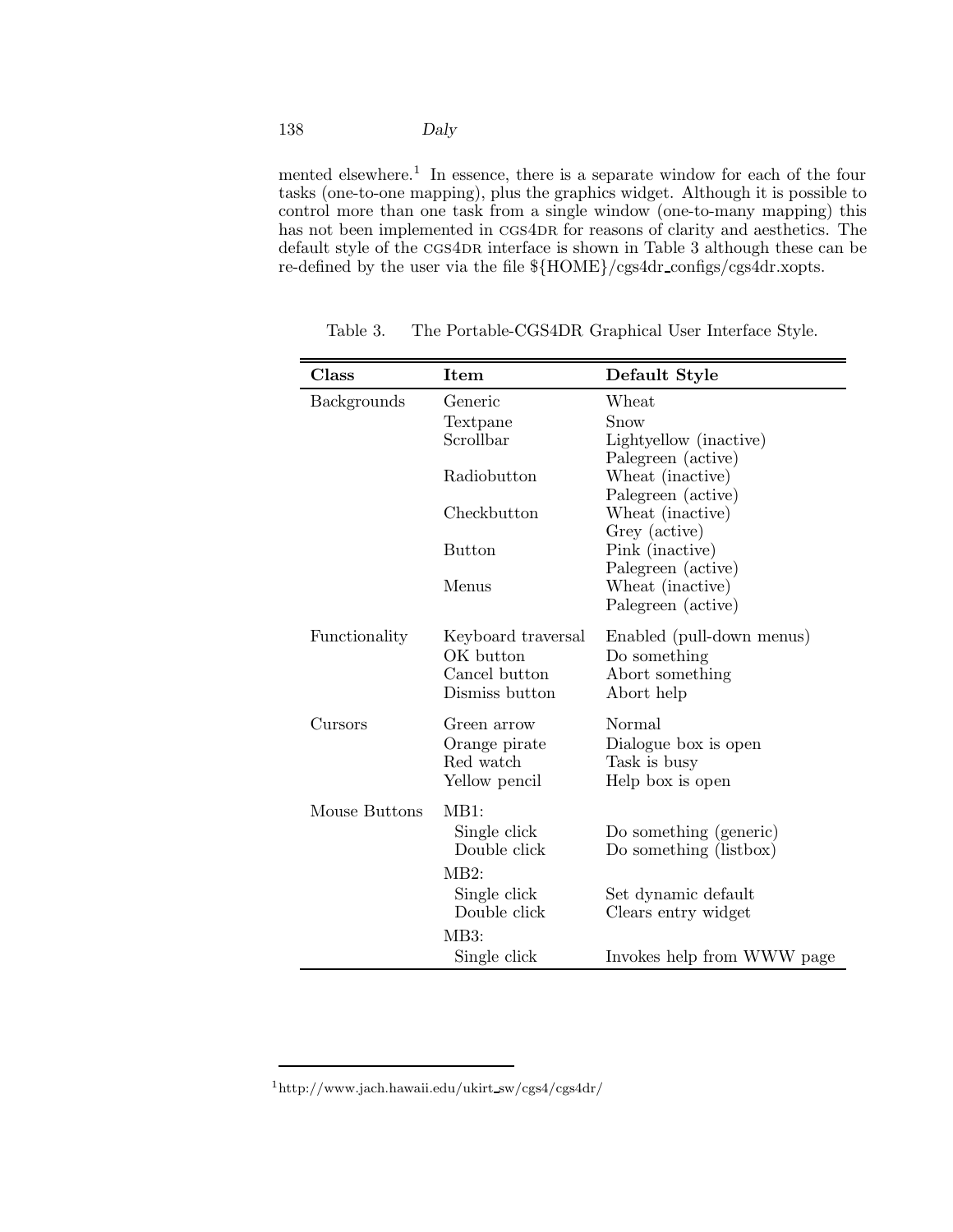# 138 *Daly*

mented elsewhere.<sup>1</sup> In essence, there is a separate window for each of the four tasks (one-to-one mapping), plus the graphics widget. Although it is possible to control more than one task from a single window (one-to-many mapping) this has not been implemented in CGS4DR for reasons of clarity and aesthetics. The default style of the CGS4DR interface is shown in Table 3 although these can be re-defined by the user via the file  $\{HOME\}/cgs4dr\_configs/cgs4dr.xopts$ .

| Class              | Item               | Default Style                          |
|--------------------|--------------------|----------------------------------------|
| <b>Backgrounds</b> | Generic            | Wheat                                  |
|                    | Textpane           | Snow                                   |
|                    | Scrollbar          | Lightyellow (inactive)                 |
|                    |                    | Palegreen (active)                     |
|                    | Radiobutton        | Wheat (inactive)                       |
|                    |                    | Palegreen (active)                     |
|                    | Checkbutton        | Wheat (inactive)                       |
|                    |                    | Grey (active)                          |
|                    | <b>Button</b>      | Pink (inactive)                        |
|                    |                    | Palegreen (active)                     |
|                    | Menus              | Wheat (inactive)<br>Palegreen (active) |
|                    |                    |                                        |
| Functionality      | Keyboard traversal | Enabled (pull-down menus)              |
|                    | OK button          | Do something                           |
|                    | Cancel button      | Abort something                        |
|                    | Dismiss button     | Abort help                             |
| Cursors            | Green arrow        | Normal                                 |
|                    | Orange pirate      | Dialogue box is open                   |
|                    | Red watch          | Task is busy                           |
|                    | Yellow pencil      | Help box is open                       |
|                    |                    |                                        |
| Mouse Buttons      | MB1:               |                                        |
|                    | Single click       | Do something (generic)                 |
|                    | Double click       | Do something (listbox)                 |
|                    | MB2:               |                                        |
|                    | Single click       | Set dynamic default                    |
|                    | Double click       | Clears entry widget                    |
|                    | MB3:               |                                        |
|                    | Single click       | Invokes help from WWW page             |

Table 3. The Portable-CGS4DR Graphical User Interface Style.

 $^1{\rm http://www.jach.hawaii.edu/ukirt\_sw/cgs4/cgs4dr/$